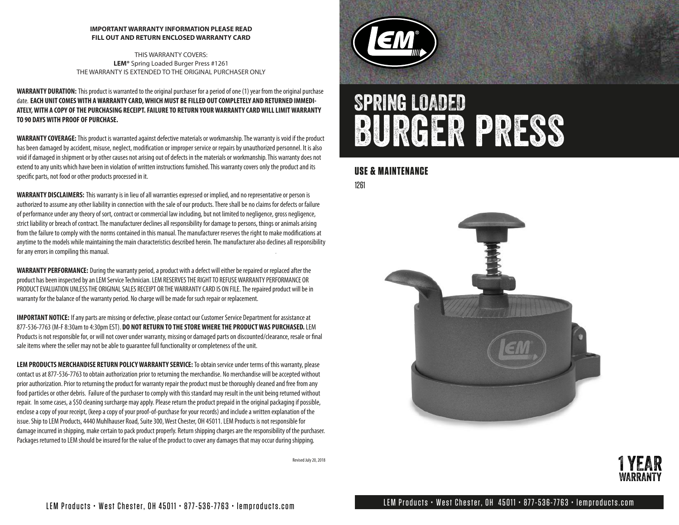#### **IMPORTANT WARRANTY INFORMATION PLEASE READ FILL OUT AND RETURN ENCLOSED WARRANTY CARD**

THIS WARRANTY COVERS: **LEM®** Spring Loaded Burger Press #1261 THE WARRANTY IS EXTENDED TO THE ORIGINAL PURCHASER ONLY

**WARRANTY DURATION:** This product is warranted to the original purchaser for a period of one (1) year from the original purchase date. **EACH UNIT COMES WITH A WARRANTY CARD, WHICH MUST BE FILLED OUT COMPLETELY AND RETURNED IMMEDI-ATELY, WITH A COPY OF THE PURCHASING RECEIPT. FAILURE TO RETURN YOUR WARRANTY CARD WILL LIMIT WARRANTY TO 90 DAYS WITH PROOF OF PURCHASE.**

**WARRANTY COVERAGE:**This product is warranted against defective materials or workmanship. The warranty is void if the product has been damaged by accident, misuse, neglect, modification or improper service or repairs by unauthorized personnel. It is also void if damaged in shipment or by other causes not arising out of defects in the materials or workmanship. This warranty does not extend to any units which have been in violation of written instructions furnished. This warranty covers only the product and its specific parts, not food or other products processed in it.

**WARRANTY DISCLAIMERS:** This warranty is in lieu of all warranties expressed or implied, and no representative or person is authorized to assume any other liability in connection with the sale of our products. There shall be no claims for defects or failure of performance under any theory of sort, contract or commercial law including, but not limited to negligence, gross negligence, strict liability or breach of contract. The manufacturer declines all responsibility for damage to persons, things or animals arising from the failure to comply with the norms contained in this manual. The manufacturer reserves the right to make modifications at anytime to the models while maintaining the main characteristics described herein. The manufacturer also declines all responsibility for any errors in compiling this manual.

**WARRANTY PERFORMANCE:** During the warranty period, a product with a defect will either be repaired or replaced after the product has been inspected by an LEM Service Technician. LEM RESERVES THE RIGHT TO REFUSE WARRANTY PERFORMANCE OR PRODUCT EVALUATION UNLESS THE ORIGINAL SALES RECEIPT OR THE WARRANTY CARD IS ON FILE.The repaired product will be in warranty for the balance of the warranty period. No charge will be made for such repair or replacement.

**IMPORTANT NOTICE:** If any parts are missing or defective, please contact our Customer Service Department for assistance at 877-536-7763 (M-F 8:30am to 4:30pm EST). **DO NOT RETURN TO THE STORE WHERE THE PRODUCT WAS PURCHASED.** LEM Products is not responsible for, or will not cover under warranty, missing or damaged parts on discounted/clearance, resale or final sale items where the seller may not be able to guarantee full functionality or completeness of the unit.

**LEM PRODUCTS MERCHANDISE RETURN POLICY WARRANTY SERVICE:** To obtain service under terms of this warranty, please contact us at 877-536-7763 to obtain authorization prior to returning the merchandise. No merchandise will be accepted without prior authorization. Prior to returning the product for warranty repair the product must be thoroughly cleaned and free from any food particles or other debris. Failure of the purchaser to comply with this standard may result in the unit being returned without repair. In some cases, a \$50 cleaning surcharge may apply. Please return the product prepaid in the original packaging if possible, enclose a copy of your receipt, (keep a copy of your proof-of-purchase for your records) and include a written explanation of the issue. Ship to LEM Products, 4440 Muhlhauser Road, Suite 300, West Chester, OH 45011. LEM Products is not responsible for damage incurred in shipping, make certain to pack product properly. Return shipping charges are the responsibility of the purchaser. Packages returned to LEM should be insured for the value of the product to cover any damages that may occur during shipping.

Revised July 20, 2018



# Spring LOADED **BURGER PRESS**

### **USE & MAINTENANCE**

1261